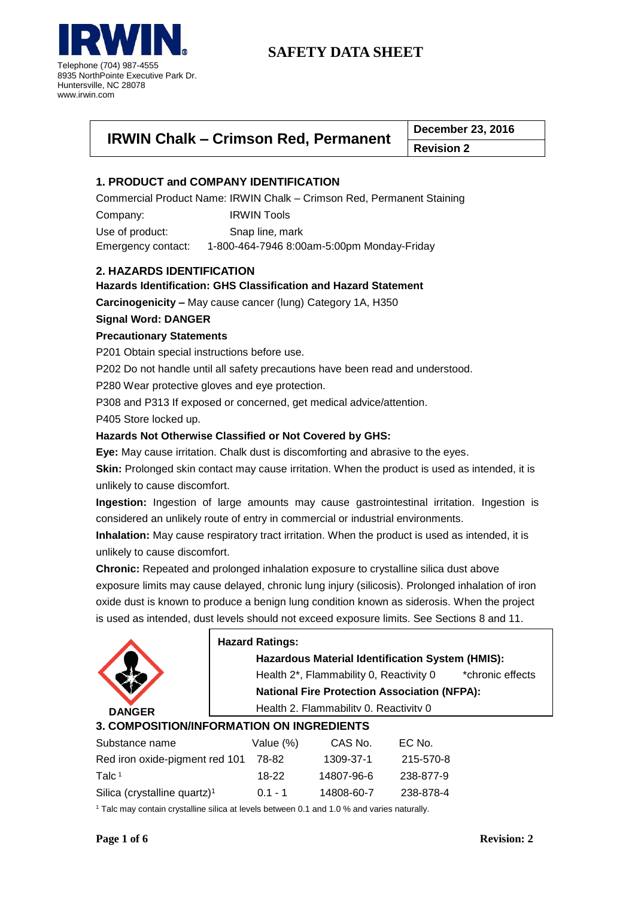

| <b>IRWIN Chalk - Crimson Red, Permanent</b> | December 23, 2016                    |
|---------------------------------------------|--------------------------------------|
|                                             | $\mathbf{R}$ . The same $\mathbf{R}$ |

**Revision 2**

# **1. PRODUCT and COMPANY IDENTIFICATION**

Commercial Product Name: IRWIN Chalk – Crimson Red, Permanent Staining

Company: IRWIN Tools Use of product: Snap line, mark Emergency contact: 1-800-464-7946 8:00am-5:00pm Monday-Friday

# **2. HAZARDS IDENTIFICATION**

# **Hazards Identification: GHS Classification and Hazard Statement**

**Carcinogenicity –** May cause cancer (lung) Category 1A, H350

## **Signal Word: DANGER**

# **Precautionary Statements**

P201 Obtain special instructions before use.

P202 Do not handle until all safety precautions have been read and understood.

P280 Wear protective gloves and eye protection.

P308 and P313 If exposed or concerned, get medical advice/attention.

P405 Store locked up.

## **Hazards Not Otherwise Classified or Not Covered by GHS:**

**Eye:** May cause irritation. Chalk dust is discomforting and abrasive to the eyes.

**Skin:** Prolonged skin contact may cause irritation. When the product is used as intended, it is unlikely to cause discomfort.

**Ingestion:** Ingestion of large amounts may cause gastrointestinal irritation. Ingestion is considered an unlikely route of entry in commercial or industrial environments.

**Inhalation:** May cause respiratory tract irritation. When the product is used as intended, it is unlikely to cause discomfort.

**Chronic:** Repeated and prolonged inhalation exposure to crystalline silica dust above exposure limits may cause delayed, chronic lung injury (silicosis). Prolonged inhalation of iron oxide dust is known to produce a benign lung condition known as siderosis. When the project is used as intended, dust levels should not exceed exposure limits. See Sections 8 and 11.



# **Hazard Ratings:**

**Hazardous Material Identification System (HMIS):**

Health 2<sup>\*</sup>, Flammability 0, Reactivity 0 \*chronic effects

**National Fire Protection Association (NFPA):**

Health 2, Flammability 0, Reactivity 0

# **3. COMPOSITION/INFORMATION ON INGREDIENTS**

| Substance name                           | Value $(\%)$ | CAS No.    | EC No.    |
|------------------------------------------|--------------|------------|-----------|
| Red iron oxide-pigment red 101           | 78-82        | 1309-37-1  | 215-570-8 |
| Talc $1$                                 | $18-22$      | 14807-96-6 | 238-877-9 |
| Silica (crystalline quartz) <sup>1</sup> | $0.1 - 1$    | 14808-60-7 | 238-878-4 |

<sup>1</sup> Talc may contain crystalline silica at levels between 0.1 and 1.0 % and varies naturally.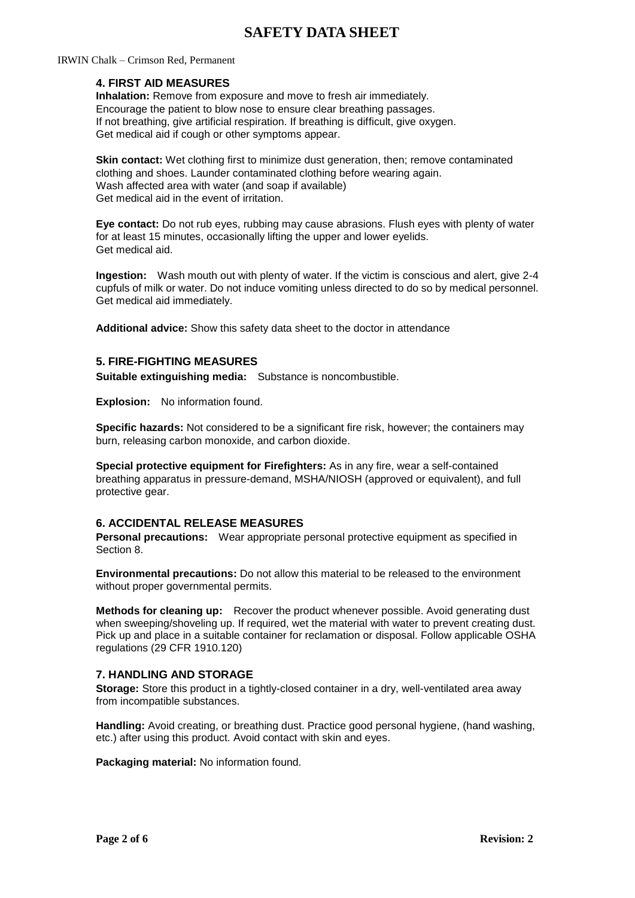#### IRWIN Chalk – Crimson Red, Permanent

### **4. FIRST AID MEASURES**

**Inhalation:** Remove from exposure and move to fresh air immediately. Encourage the patient to blow nose to ensure clear breathing passages. If not breathing, give artificial respiration. If breathing is difficult, give oxygen. Get medical aid if cough or other symptoms appear.

**Skin contact:** Wet clothing first to minimize dust generation, then; remove contaminated clothing and shoes. Launder contaminated clothing before wearing again. Wash affected area with water (and soap if available) Get medical aid in the event of irritation.

**Eye contact:** Do not rub eyes, rubbing may cause abrasions. Flush eyes with plenty of water for at least 15 minutes, occasionally lifting the upper and lower eyelids. Get medical aid.

**Ingestion:** Wash mouth out with plenty of water. If the victim is conscious and alert, give 2-4 cupfuls of milk or water. Do not induce vomiting unless directed to do so by medical personnel. Get medical aid immediately.

**Additional advice:** Show this safety data sheet to the doctor in attendance

### **5. FIRE-FIGHTING MEASURES**

**Suitable extinguishing media:** Substance is noncombustible.

**Explosion:** No information found.

**Specific hazards:** Not considered to be a significant fire risk, however; the containers may burn, releasing carbon monoxide, and carbon dioxide.

**Special protective equipment for Firefighters:** As in any fire, wear a self-contained breathing apparatus in pressure-demand, MSHA/NIOSH (approved or equivalent), and full protective gear.

#### **6. ACCIDENTAL RELEASE MEASURES**

**Personal precautions:** Wear appropriate personal protective equipment as specified in Section 8.

**Environmental precautions:** Do not allow this material to be released to the environment without proper governmental permits.

**Methods for cleaning up:** Recover the product whenever possible. Avoid generating dust when sweeping/shoveling up. If required, wet the material with water to prevent creating dust. Pick up and place in a suitable container for reclamation or disposal. Follow applicable OSHA regulations (29 CFR 1910.120)

### **7. HANDLING AND STORAGE**

**Storage:** Store this product in a tightly-closed container in a dry, well-ventilated area away from incompatible substances.

**Handling:** Avoid creating, or breathing dust. Practice good personal hygiene, (hand washing, etc.) after using this product. Avoid contact with skin and eyes.

**Packaging material:** No information found.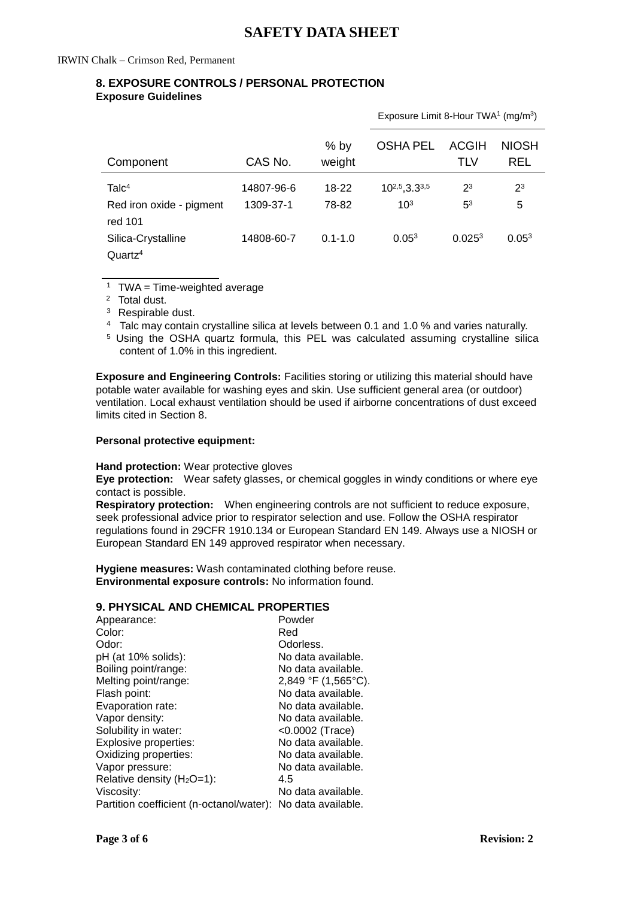# **8. EXPOSURE CONTROLS / PERSONAL PROTECTION Exposure Guidelines**

|                                           |            |                  | Exposure Limit 8-Hour TWA <sup>1</sup> (mg/m <sup>3</sup> ) |                     |                            |
|-------------------------------------------|------------|------------------|-------------------------------------------------------------|---------------------|----------------------------|
| Component                                 | CAS No.    | $%$ by<br>weight | <b>OSHA PEL</b>                                             | <b>ACGIH</b><br>TLV | <b>NIOSH</b><br><b>REL</b> |
| Talc <sup>4</sup>                         | 14807-96-6 | $18-22$          | $10^{2,5}$ , 3.3 <sup>3,5</sup>                             | $2^3$               | $2^3$                      |
| Red iron oxide - pigment<br>red 101       | 1309-37-1  | 78-82            | $10^{3}$                                                    | 5 <sup>3</sup>      | 5                          |
| Silica-Crystalline<br>Quartz <sup>4</sup> | 14808-60-7 | $0.1 - 1.0$      | $0.05^{3}$                                                  | 0.025 <sup>3</sup>  | 0.05 <sup>3</sup>          |

 $1$  TWA = Time-weighted average

<sup>2</sup> Total dust.

 $\overline{a}$ 

<sup>3</sup> Respirable dust.

<sup>4</sup> Talc may contain crystalline silica at levels between 0.1 and 1.0 % and varies naturally.

<sup>5</sup> Using the OSHA quartz formula, this PEL was calculated assuming crystalline silica content of 1.0% in this ingredient.

**Exposure and Engineering Controls:** Facilities storing or utilizing this material should have potable water available for washing eyes and skin. Use sufficient general area (or outdoor) ventilation. Local exhaust ventilation should be used if airborne concentrations of dust exceed limits cited in Section 8.

#### **Personal protective equipment:**

#### **Hand protection:** Wear protective gloves

**Eye protection:** Wear safety glasses, or chemical goggles in windy conditions or where eye contact is possible.

**Respiratory protection:** When engineering controls are not sufficient to reduce exposure, seek professional advice prior to respirator selection and use. Follow the OSHA respirator regulations found in 29CFR 1910.134 or European Standard EN 149. Always use a NIOSH or European Standard EN 149 approved respirator when necessary.

**Hygiene measures:** Wash contaminated clothing before reuse. **Environmental exposure controls:** No information found.

# **9. PHYSICAL AND CHEMICAL PROPERTIES**

| Appearance:                                                 | Powder                |
|-------------------------------------------------------------|-----------------------|
| Color:                                                      | Red                   |
| Odor:                                                       | Odorless.             |
| pH (at 10% solids):                                         | No data available.    |
| Boiling point/range:                                        | No data available.    |
| Melting point/range:                                        | $2,849$ °F (1,565°C). |
| Flash point:                                                | No data available.    |
| Evaporation rate:                                           | No data available.    |
| Vapor density:                                              | No data available.    |
| Solubility in water:                                        | <0.0002 (Trace)       |
| Explosive properties:                                       | No data available.    |
| Oxidizing properties:                                       | No data available.    |
| Vapor pressure:                                             | No data available.    |
| Relative density $(H2O=1)$ :                                | 4.5                   |
| Viscosity:                                                  | No data available.    |
| Partition coefficient (n-octanol/water): No data available. |                       |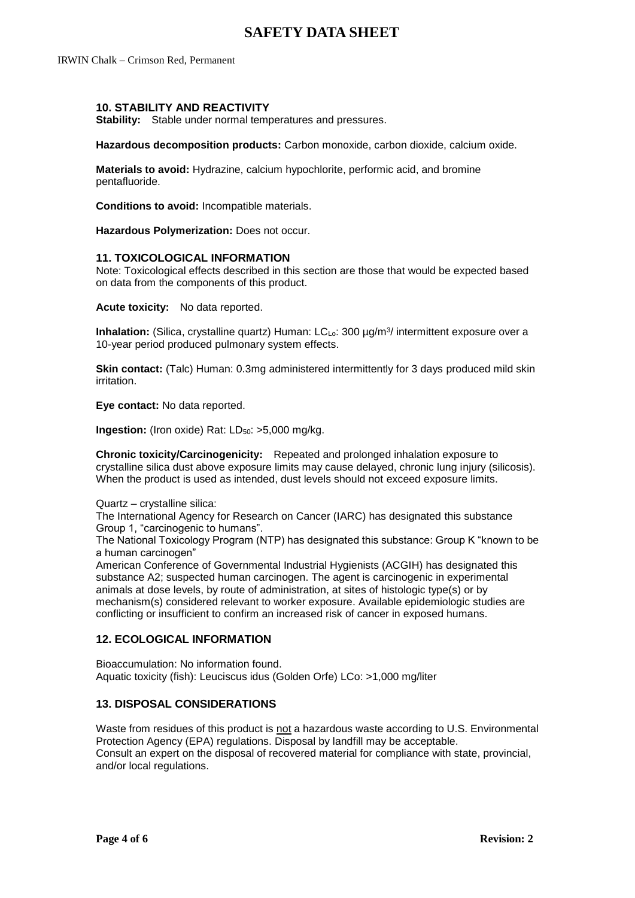IRWIN Chalk – Crimson Red, Permanent

### **10. STABILITY AND REACTIVITY**

**Stability:** Stable under normal temperatures and pressures.

**Hazardous decomposition products:** Carbon monoxide, carbon dioxide, calcium oxide.

**Materials to avoid:** Hydrazine, calcium hypochlorite, performic acid, and bromine pentafluoride.

**Conditions to avoid:** Incompatible materials.

**Hazardous Polymerization:** Does not occur.

#### **11. TOXICOLOGICAL INFORMATION**

Note: Toxicological effects described in this section are those that would be expected based on data from the components of this product.

**Acute toxicity:** No data reported.

**Inhalation:** (Silica, crystalline quartz) Human: LCL<sub>o</sub>: 300 µg/m<sup>3</sup>/ intermittent exposure over a 10-year period produced pulmonary system effects.

**Skin contact:** (Talc) Human: 0.3mg administered intermittently for 3 days produced mild skin irritation.

**Eye contact:** No data reported.

**Ingestion:** (Iron oxide) Rat: LD<sub>50</sub>: >5,000 mg/kg.

**Chronic toxicity/Carcinogenicity:** Repeated and prolonged inhalation exposure to crystalline silica dust above exposure limits may cause delayed, chronic lung injury (silicosis). When the product is used as intended, dust levels should not exceed exposure limits.

Quartz – crystalline silica:

The International Agency for Research on Cancer (IARC) has designated this substance Group 1, "carcinogenic to humans".

The National Toxicology Program (NTP) has designated this substance: Group K "known to be a human carcinogen"

American Conference of Governmental Industrial Hygienists (ACGIH) has designated this substance A2; suspected human carcinogen. The agent is carcinogenic in experimental animals at dose levels, by route of administration, at sites of histologic type(s) or by mechanism(s) considered relevant to worker exposure. Available epidemiologic studies are conflicting or insufficient to confirm an increased risk of cancer in exposed humans.

#### **12. ECOLOGICAL INFORMATION**

Bioaccumulation: No information found. Aquatic toxicity (fish): Leuciscus idus (Golden Orfe) LCo: >1,000 mg/liter

#### **13. DISPOSAL CONSIDERATIONS**

Waste from residues of this product is not a hazardous waste according to U.S. Environmental Protection Agency (EPA) regulations. Disposal by landfill may be acceptable. Consult an expert on the disposal of recovered material for compliance with state, provincial, and/or local regulations.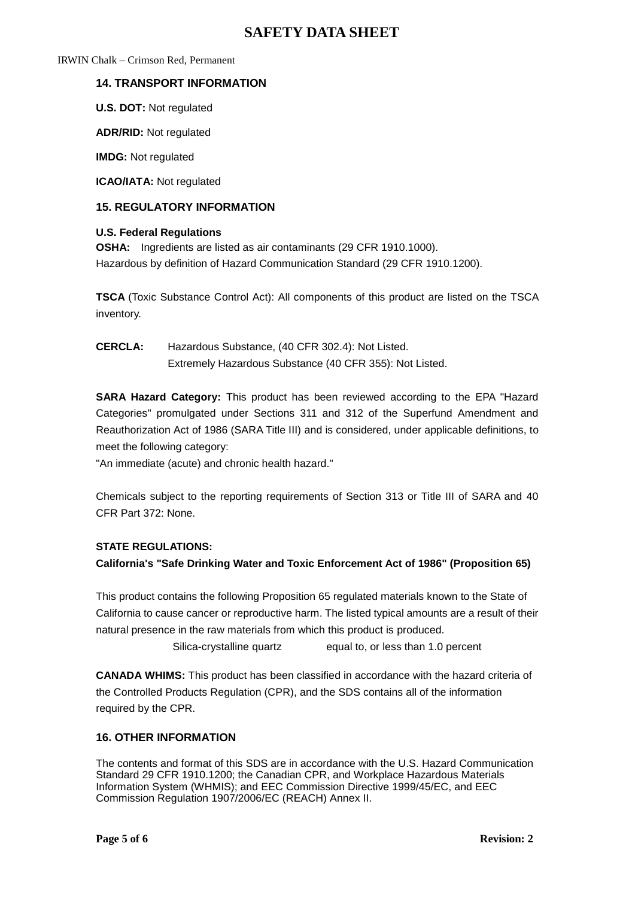IRWIN Chalk – Crimson Red, Permanent

# **14. TRANSPORT INFORMATION**

**U.S. DOT:** Not regulated

**ADR/RID:** Not regulated

**IMDG:** Not regulated

**ICAO/IATA:** Not regulated

### **15. REGULATORY INFORMATION**

#### **U.S. Federal Regulations**

**OSHA:** Ingredients are listed as air contaminants (29 CFR 1910.1000). Hazardous by definition of Hazard Communication Standard (29 CFR 1910.1200).

**TSCA** (Toxic Substance Control Act): All components of this product are listed on the TSCA inventory.

**CERCLA:** Hazardous Substance, (40 CFR 302.4): Not Listed. Extremely Hazardous Substance (40 CFR 355): Not Listed.

**SARA Hazard Category:** This product has been reviewed according to the EPA "Hazard Categories" promulgated under Sections 311 and 312 of the Superfund Amendment and Reauthorization Act of 1986 (SARA Title III) and is considered, under applicable definitions, to meet the following category:

"An immediate (acute) and chronic health hazard."

Chemicals subject to the reporting requirements of Section 313 or Title III of SARA and 40 CFR Part 372: None.

## **STATE REGULATIONS:**

**California's "Safe Drinking Water and Toxic Enforcement Act of 1986" (Proposition 65)**

This product contains the following Proposition 65 regulated materials known to the State of California to cause cancer or reproductive harm. The listed typical amounts are a result of their natural presence in the raw materials from which this product is produced.

Silica-crystalline quartz equal to, or less than 1.0 percent

**CANADA WHIMS:** This product has been classified in accordance with the hazard criteria of the Controlled Products Regulation (CPR), and the SDS contains all of the information required by the CPR.

# **16. OTHER INFORMATION**

The contents and format of this SDS are in accordance with the U.S. Hazard Communication Standard 29 CFR 1910.1200; the Canadian CPR, and Workplace Hazardous Materials Information System (WHMIS); and EEC Commission Directive 1999/45/EC, and EEC Commission Regulation 1907/2006/EC (REACH) Annex II.